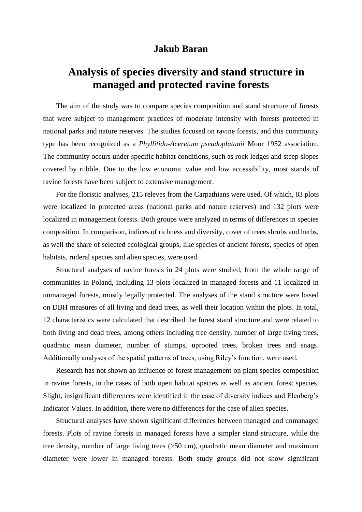## **Jakub Baran**

## **Analysis of species diversity and stand structure in managed and protected ravine forests**

The aim of the study was to compare species composition and stand structure of forests that were subject to management practices of moderate intensity with forests protected in national parks and nature reserves. The studies focused on ravine forests, and this community type has been recognized as a *Phyllitido-Aceretum pseudoplatanii* Moor 1952 association. The community occurs under specific habitat conditions, such as rock ledges and steep slopes covered by rubble. Due to the low economic value and low accessibility, most stands of ravine forests have been subject to extensive management.

For the floristic analyses, 215 releves from the Carpathians were used. Of which, 83 plots were localized in protected areas (national parks and nature reserves) and 132 plots were localized in management forests. Both groups were analyzed in terms of differences in species composition. In comparison, indices of richness and diversity, cover of trees shrubs and herbs, as well the share of selected ecological groups, like species of ancient forests, species of open habitats, ruderal species and alien species, were used.

Structural analyses of ravine forests in 24 plots were studied, from the whole range of communities in Poland, including 13 plots localized in managed forests and 11 localized in unmanaged forests, mostly legally protected. The analyses of the stand structure were based on DBH measures of all living and dead trees, as well their location within the plots. In total, 12 characteristics were calculated that described the forest stand structure and were related to both living and dead trees, among others including tree density, number of large living trees, quadratic mean diameter, number of stumps, uprooted trees, broken trees and snags. Additionally analyses of the spatial patterns of trees, using Riley's function, were used.

Research has not shown an influence of forest management on plant species composition in ravine forests, in the cases of both open habitat species as well as ancient forest species. Slight, insignificant differences were identified in the case of diversity indices and Elenberg's Indicator Values. In addition, there were no differences for the case of alien species.

Structural analyses have shown significant differences between managed and unmanaged forests. Plots of ravine forests in managed forests have a simpler stand structure, while the tree density, number of large living trees (>50 cm), quadratic mean diameter and maximum diameter were lower in managed forests. Both study groups did not show significant